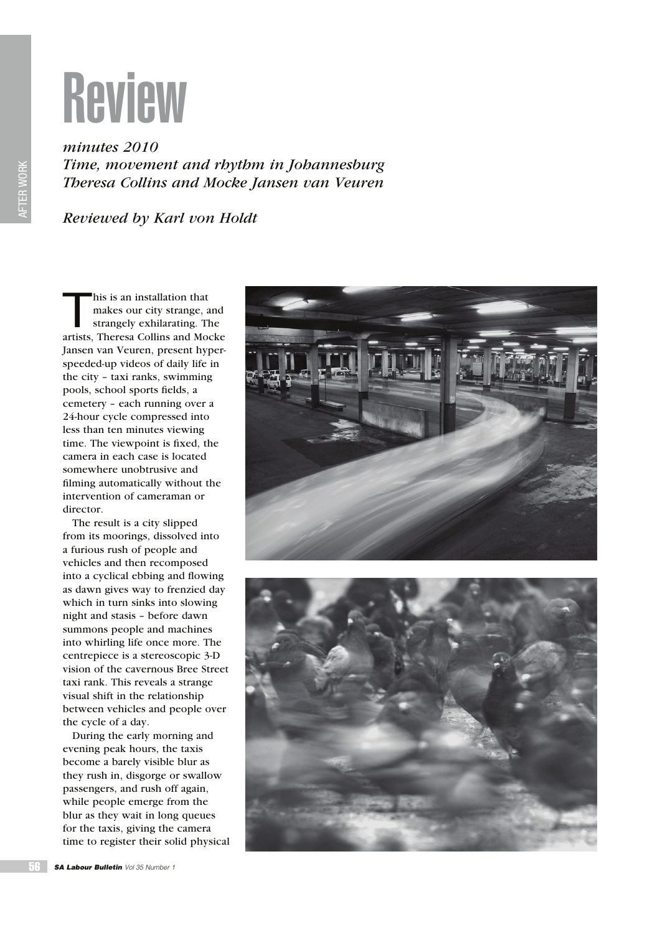

*minutes 2010 Time, movement and rhythm in Johannesburg Theresa Collins and Mocke Jansen van Veuren*

*Reviewed by Karl von Holdt*

 $\overline{T}$ his is an installation that makes our city strange, and strangely exhilarating. The artists, Theresa Collins and Mocke Jansen van Veuren, present hyperspeeded-up videos of daily life in the city – taxi ranks, swimming pools, school sports fields, a cemetery – each running over a 24-hour cycle compressed into less than ten minutes viewing time. The viewpoint is fixed, the camera in each case is located somewhere unobtrusive and filming automatically without the intervention of cameraman or director.

The result is a city slipped from its moorings, dissolved into a furious rush of people and vehicles and then recomposed into a cyclical ebbing and flowing as dawn gives way to frenzied day which in turn sinks into slowing night and stasis – before dawn summons people and machines into whirling life once more. The centrepiece is a stereoscopic 3-D vision of the cavernous Bree Street taxi rank. This reveals a strange visual shift in the relationship between vehicles and people over the cycle of a day.

During the early morning and evening peak hours, the taxis become a barely visible blur as they rush in, disgorge or swallow passengers, and rush off again, while people emerge from the blur as they wait in long queues for the taxis, giving the camera time to register their solid physical





AFTER WORK